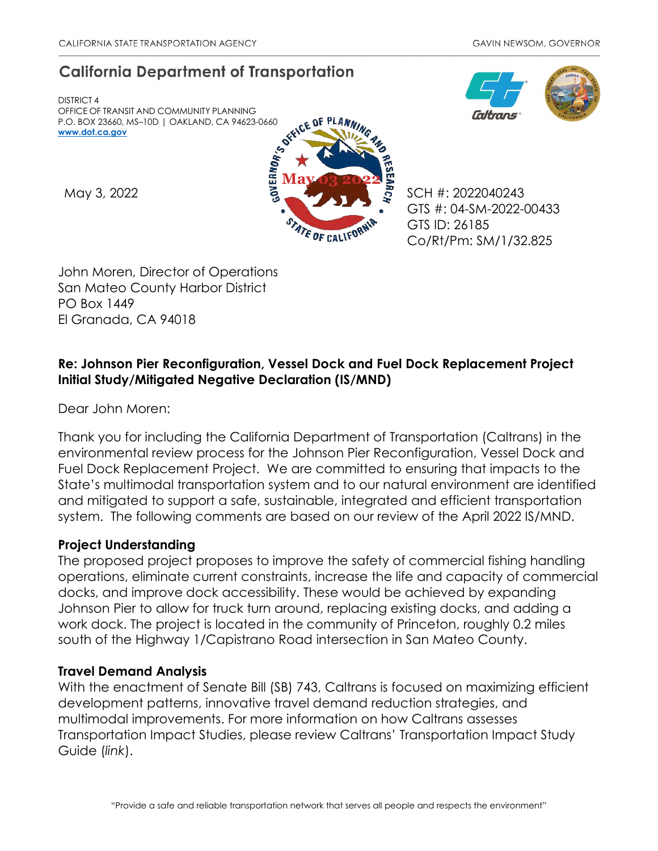# **California Department of Transportation**

DISTRICT 4 OFFICE OF TRANSIT AND COMMUNITY PLANNING P.O. BOX 23660, MS–10D | OAKLAND, CA 94623-0660 **[www.dot.ca.gov](http://www.dot.ca.gov/)**



GTS #: 04-SM-2022-00433 GTS ID: 26185 Co/Rt/Pm: SM/1/32.825

John Moren, Director of Operations San Mateo County Harbor District PO Box 1449 El Granada, CA 94018

## **Re: Johnson Pier Reconfiguration, Vessel Dock and Fuel Dock Replacement Project Initial Study/Mitigated Negative Declaration (IS/MND)**

Dear John Moren:

Thank you for including the California Department of Transportation (Caltrans) in the environmental review process for the Johnson Pier Reconfiguration, Vessel Dock and Fuel Dock Replacement Project. We are committed to ensuring that impacts to the State's multimodal transportation system and to our natural environment are identified and mitigated to support a safe, sustainable, integrated and efficient transportation system. The following comments are based on our review of the April 2022 IS/MND.

### **Project Understanding**

The proposed project proposes to improve the safety of commercial fishing handling operations, eliminate current constraints, increase the life and capacity of commercial docks, and improve dock accessibility. These would be achieved by expanding Johnson Pier to allow for truck turn around, replacing existing docks, and adding a work dock. The project is located in the community of Princeton, roughly 0.2 miles south of the Highway 1/Capistrano Road intersection in San Mateo County.

### **Travel Demand Analysis**

With the enactment of Senate Bill (SB) 743, Caltrans is focused on maximizing efficient development patterns, innovative travel demand reduction strategies, and multimodal improvements. For more information on how Caltrans assesses Transportation Impact Studies, please review Caltrans' [Transportation Impact Study](https://dot.ca.gov/-/media/dot-media/programs/transportation-planning/documents/sb-743/2020-05-20-approved-vmt-focused-tisg-a11y.pdf)  [Guide \(](https://dot.ca.gov/-/media/dot-media/programs/transportation-planning/documents/sb-743/2020-05-20-approved-vmt-focused-tisg-a11y.pdf)*[link](https://dot.ca.gov/-/media/dot-media/programs/transportation-planning/documents/sb-743/2020-05-20-approved-vmt-focused-tisg-a11y.pdf)*[\).](https://dot.ca.gov/-/media/dot-media/programs/transportation-planning/documents/sb-743/2020-05-20-approved-vmt-focused-tisg-a11y.pdf)